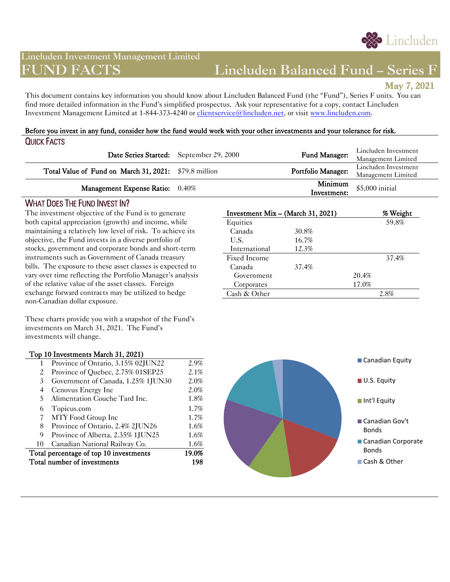

# **Lincluden Investment Management Limited**

# **FUND FACTS Lincluden Balanced Fund – Series F**

**May 7, 2021** 

This document contains key information you should know about Lincluden Balanced Fund (the "Fund"), Series F units. You can find more detailed information in the Fund's simplified prospectus. Ask your representative for a copy, contact Lincluden Investment Management Limited at 1-844-373-4240 or *clientservice@lincluden.net*, or visit [www.lincluden.com.](http://www.lincluden.com/)

## Before you invest in any fund, consider how the fund would work with your other investments and your tolerance for risk. QUICK FACTS

|                                                       | Date Series Started: September 29, 2000 | Fund Manager:          | Lincluden Investment<br>Management Limited |
|-------------------------------------------------------|-----------------------------------------|------------------------|--------------------------------------------|
| Total Value of Fund on March 31, 2021: \$79.8 million |                                         | Portfolio Manager:     | Lincluden Investment<br>Management Limited |
| Management Expense Ratio: 0.40%                       |                                         | Minimum<br>Investment: | \$5,000 initial                            |

# WHAT DOES THE FUND INVEST IN?

The investment objective of the Fund is to generate both capital appreciation (growth) and income, while maintaining a relatively low level of risk. To achieve its objective, the Fund invests in a diverse portfolio of stocks, government and corporate bonds and short-term instruments such as Government of Canada treasury bills. The exposure to these asset classes is expected to vary over time reflecting the Portfolio Manager's analysis of the relative value of the asset classes. Foreign exchange forward contracts may be utilized to hedge non-Canadian dollar exposure.

These charts provide you with a snapshot of the Fund's investments on March 31, 2021. The Fund's investments will change.

#### Top 10 Investments March 31, 2021)

|                                        | Province of Ontario, 3.15% 02JUN22 | 2.9%    |
|----------------------------------------|------------------------------------|---------|
| 2                                      | Province of Quebec, 2.75% 01SEP25  | 2.1%    |
| 3                                      | Government of Canada, 1.25% 1JUN30 | 2.0%    |
| 4                                      | Cenovus Energy Inc                 | 2.0%    |
| 5.                                     | Alimentation Couche Tard Inc.      | 1.8%    |
| 6                                      | Topicus.com                        | 1.7%    |
| 7                                      | MTY Food Group Inc                 | $1.7\%$ |
| 8                                      | Province of Ontario, 2.4% 2JUN26   | 1.6%    |
| 9                                      | Province of Alberta, 2.35% 1JUN25  | 1.6%    |
| 10                                     | Canadian National Railway Co.      | 1.6%    |
| Total percentage of top 10 investments |                                    | 19.0%   |
| Total number of investments            |                                    | 198     |

| Investment Mix $-$ (March 31, 2021) |       | % Weight |
|-------------------------------------|-------|----------|
| Equities                            |       | 59.8%    |
| Canada                              | 30.8% |          |
| U.S.                                | 16.7% |          |
| International                       | 12.3% |          |
| Fixed Income                        |       | 37.4%    |
| Canada                              | 37.4% |          |
| Government                          |       | 20.4%    |
| Corporates                          |       | 17.0%    |
| Cash & Other                        |       | 2.8%     |
|                                     |       |          |

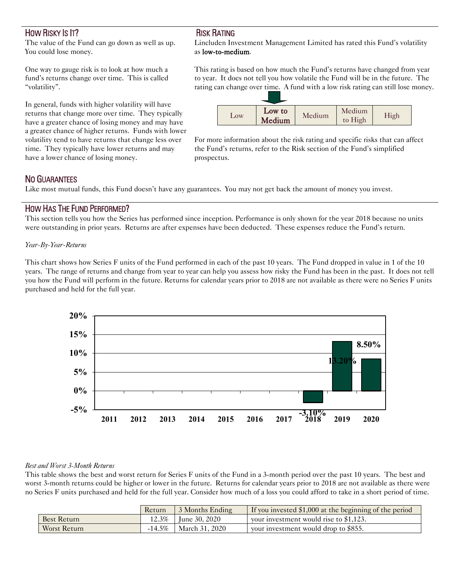# HOW RISKY IS IT?

The value of the Fund can go down as well as up. You could lose money.

One way to gauge risk is to look at how much a fund's returns change over time. This is called "volatility".

In general, funds with higher volatility will have returns that change more over time. They typically have a greater chance of losing money and may have a greater chance of higher returns. Funds with lower volatility tend to have returns that change less over time. They typically have lower returns and may have a lower chance of losing money.

# RISK RATING

Lincluden Investment Management Limited has rated this Fund's volatility as low-to-medium.

This rating is based on how much the Fund's returns have changed from year to year. It does not tell you how volatile the Fund will be in the future. The rating can change over time. A fund with a low risk rating can still lose money.



For more information about the risk rating and specific risks that can affect the Fund's returns, refer to the Risk section of the Fund's simplified prospectus.

# NO GUARANTEES

Like most mutual funds, this Fund doesn't have any guarantees. You may not get back the amount of money you invest.

# HOW HAS THE FUND PERFORMED?

This section tells you how the Series has performed since inception. Performance is only shown for the year 2018 because no units were outstanding in prior years. Returns are after expenses have been deducted. These expenses reduce the Fund's return.

#### *Year-By-Year-Returns*

This chart shows how Series F units of the Fund performed in each of the past 10 years. The Fund dropped in value in 1 of the 10 years. The range of returns and change from year to year can help you assess how risky the Fund has been in the past. It does not tell you how the Fund will perform in the future. Returns for calendar years prior to 2018 are not available as there were no Series F units purchased and held for the full year.



## *Best and Worst 3-Month Returns*

This table shows the best and worst return for Series F units of the Fund in a 3-month period over the past 10 years. The best and worst 3-month returns could be higher or lower in the future. Returns for calendar years prior to 2018 are not available as there were no Series F units purchased and held for the full year. Consider how much of a loss you could afford to take in a short period of time.

|              | Return    | 3 Months Ending          | If you invested $$1,000$ at the beginning of the period |
|--------------|-----------|--------------------------|---------------------------------------------------------|
| Best Return  |           | $12.3\%$   June 30, 2020 | your investment would rise to \$1,123.                  |
| Worst Return | $-14.5\%$ | March 31, 2020           | your investment would drop to \$855.                    |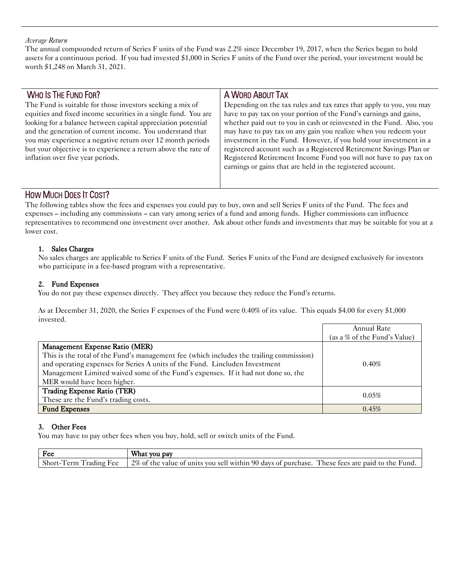## *Average Return*

The annual compounded return of Series F units of the Fund was 2.2% since December 19, 2017, when the Series began to hold assets for a continuous period. If you had invested \$1,000 in Series F units of the Fund over the period, your investment would be worth \$1,248 on March 31, 2021.

| WHO IS THE FUND FOR?                                                                                                         | A WORD ABOUT TAX                                                                                                                         |
|------------------------------------------------------------------------------------------------------------------------------|------------------------------------------------------------------------------------------------------------------------------------------|
| The Fund is suitable for those investors seeking a mix of<br>equities and fixed income securities in a single fund. You are  | Depending on the tax rules and tax rates that apply to you, you may<br>have to pay tax on your portion of the Fund's earnings and gains, |
| looking for a balance between capital appreciation potential                                                                 | whether paid out to you in cash or reinvested in the Fund. Also, you                                                                     |
| and the generation of current income. You understand that                                                                    | may have to pay tax on any gain you realize when you redeem your                                                                         |
| you may experience a negative return over 12 month periods<br>but your objective is to experience a return above the rate of | investment in the Fund. However, if you hold your investment in a<br>registered account such as a Registered Retirement Savings Plan or  |
| inflation over five year periods.                                                                                            | Registered Retirement Income Fund you will not have to pay tax on<br>earnings or gains that are held in the registered account.          |
|                                                                                                                              |                                                                                                                                          |

# HOW MUCH DOES IT COST?

The following tables show the fees and expenses you could pay to buy, own and sell Series F units of the Fund. The fees and expenses – including any commissions – can vary among series of a fund and among funds. Higher commissions can influence representatives to recommend one investment over another. Ask about other funds and investments that may be suitable for you at a lower cost.

## 1. Sales Charges

No sales charges are applicable to Series F units of the Fund. Series F units of the Fund are designed exclusively for investors who participate in a fee-based program with a representative.

## 2. Fund Expenses

You do not pay these expenses directly. They affect you because they reduce the Fund's returns.

As at December 31, 2020, the Series F expenses of the Fund were 0.40% of its value. This equals \$4.00 for every \$1,000 invested.

|                                                                                         | Annual Rate                     |
|-----------------------------------------------------------------------------------------|---------------------------------|
|                                                                                         | (as a $\%$ of the Fund's Value) |
| Management Expense Ratio (MER)                                                          |                                 |
| This is the total of the Fund's management fee (which includes the trailing commission) |                                 |
| and operating expenses for Series A units of the Fund. Lincluden Investment             | $0.40\%$                        |
| Management Limited waived some of the Fund's expenses. If it had not done so, the       |                                 |
| MER would have been higher.                                                             |                                 |
| Trading Expense Ratio (TER)                                                             | 0.05%                           |
| These are the Fund's trading costs.                                                     |                                 |
| <b>Fund Expenses</b>                                                                    | 0.45%                           |

## 3. Other Fees

You may have to pay other fees when you buy, hold, sell or switch units of the Fund.

| Fee                    | What you pay                                                                                   |
|------------------------|------------------------------------------------------------------------------------------------|
| Short-Term Trading Fee | 2% of the value of units you sell within 90 days of purchase. These fees are paid to the Fund. |